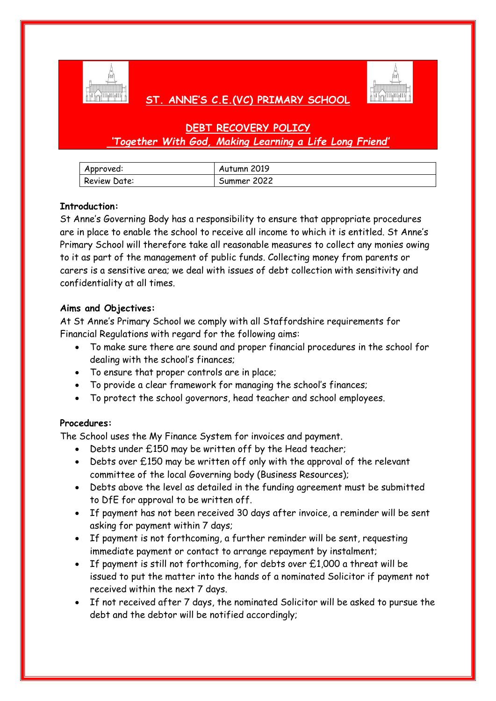

# **ST. ANNE'S C.E.(VC) PRIMARY SCHOOL**



# **DEBT RECOVERY POLICY** *'Together With God, Making Learning a Life Long Friend'*

| Approved:    | Autumn 2019 |
|--------------|-------------|
| Review Date: | Summer 2022 |

## **Introduction:**

St Anne's Governing Body has a responsibility to ensure that appropriate procedures are in place to enable the school to receive all income to which it is entitled. St Anne's Primary School will therefore take all reasonable measures to collect any monies owing to it as part of the management of public funds. Collecting money from parents or carers is a sensitive area; we deal with issues of debt collection with sensitivity and confidentiality at all times.

## **Aims and Objectives:**

At St Anne's Primary School we comply with all Staffordshire requirements for Financial Regulations with regard for the following aims:

- To make sure there are sound and proper financial procedures in the school for dealing with the school's finances;
- To ensure that proper controls are in place;
- To provide a clear framework for managing the school's finances;
- To protect the school governors, head teacher and school employees.

## **Procedures:**

The School uses the My Finance System for invoices and payment.

- Debts under £150 may be written off by the Head teacher;
- Debts over £150 may be written off only with the approval of the relevant committee of the local Governing body (Business Resources);
- Debts above the level as detailed in the funding agreement must be submitted to DfE for approval to be written off.
- If payment has not been received 30 days after invoice, a reminder will be sent asking for payment within 7 days;
- If payment is not forthcoming, a further reminder will be sent, requesting immediate payment or contact to arrange repayment by instalment;
- If payment is still not forthcoming, for debts over £1,000 a threat will be issued to put the matter into the hands of a nominated Solicitor if payment not received within the next 7 days.
- If not received after 7 days, the nominated Solicitor will be asked to pursue the debt and the debtor will be notified accordingly;